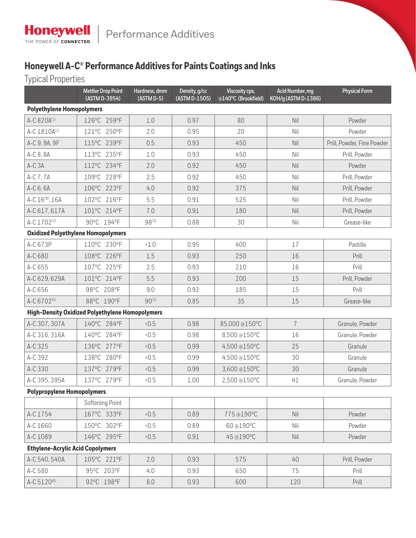## **Honeywell A-C® Performance Additives for Paints Coatings and Inks**

Typical Properties

|                                           | <b>Mettler Drop Point</b><br>(ASTM D-3954)             | Hardness, dmm<br>$(ASTM D-5)$ | Density, g/cc<br>(ASTM D-1505) | Acid Number, mg<br>Viscosity cps,<br>KOH/g (ASTM D-1386)<br>@140°C (Brookfield) |                | <b>Physical Form</b>       |  |  |  |  |
|-------------------------------------------|--------------------------------------------------------|-------------------------------|--------------------------------|---------------------------------------------------------------------------------|----------------|----------------------------|--|--|--|--|
| <b>Polyethylene Homopolymers</b>          |                                                        |                               |                                |                                                                                 |                |                            |  |  |  |  |
| A-C 820A(1)                               | 126°C 259°F                                            | 1.0                           | 0.97                           | 80                                                                              | Nil            | Powder                     |  |  |  |  |
| A-C 1810A(1)                              | 121°C 250°F                                            | 2.0                           | 0.95                           | 20                                                                              | Nil            | Powder                     |  |  |  |  |
| A-C 9, 9A, 9F                             | 115°C 239°F                                            | 0.5                           | 0.93                           | 450                                                                             | Nil            | Prill, Powder, Fine Powder |  |  |  |  |
| A-C 8, 8A                                 | 113°C 235°F                                            | 1.0                           | 0.93                           | 450                                                                             | Nil            | Prill, Powder              |  |  |  |  |
| A-C <sub>3</sub> A                        | 112°C 234°F                                            | 2.0                           | 0.92                           | 450                                                                             | Nil            | Powder                     |  |  |  |  |
| A-C 7, 7A                                 | 109°C 228°F                                            | 2.5                           | 0.92                           | 450                                                                             | Nil            | Prill, Powder              |  |  |  |  |
| A-C 6, 6A                                 | 106°C 223°F                                            | 4.0                           | 0.92                           | 375                                                                             | Nil            | Prill, Powder              |  |  |  |  |
| A-C 16 <sup>(8)</sup> , 16A               | 102°C 216°F                                            | 5.5                           | 0.91                           | 525                                                                             | Nil            | Prill, Powder              |  |  |  |  |
| A-C 617, 617A                             | 101°C 214°F                                            | 7.0                           | 0.91                           | 180                                                                             | Nil            | Prill, Powder              |  |  |  |  |
| A-C 1702 <sup>(2)</sup>                   | 90°C 194°F                                             | $98^{(3)}$                    | 0.88                           | 30                                                                              | Nil            | Grease-like                |  |  |  |  |
| <b>Oxidized Polyethylene Homopolymers</b> |                                                        |                               |                                |                                                                                 |                |                            |  |  |  |  |
| A-C 673P                                  | 110°C 230°F                                            | <1.0                          | 0.95                           | 400                                                                             | 17             | Pastille                   |  |  |  |  |
| A-C 680                                   | 108°C 226°F                                            | 1.5                           | 0.93                           | 250                                                                             | 16             | Prill                      |  |  |  |  |
| A-C 655                                   | 107°C 225°F                                            | 2.5                           | 0.93                           | 210                                                                             | 16             | Prill                      |  |  |  |  |
| A-C 629, 629A                             | 101°C 214°F                                            | 5.5                           | 0.93                           | 200                                                                             | 15             | Prill, Powder              |  |  |  |  |
| A-C 656                                   | 98°C 208°F                                             | 9.0                           | 0.92                           | 185                                                                             | 15             | Prill                      |  |  |  |  |
| A-C 6702 <sup>(5)</sup>                   | 88°C 190°F                                             | $90^{(3)}$                    | 0.85                           | 35                                                                              | 15             | Grease-like                |  |  |  |  |
|                                           | <b>High-Density Oxidized Polyethylene Homopolymers</b> |                               |                                |                                                                                 |                |                            |  |  |  |  |
| A-C 307, 307A                             | 140°C 284°F                                            | 0.5                           | 0.98                           | 85,000@150°C                                                                    | $\overline{1}$ | Granule, Powder            |  |  |  |  |
| A-C 316, 316A                             | 140°C 284°F                                            | 0.5                           | 0.98                           | 8,500 @150°C                                                                    | 16             | Granule, Powder            |  |  |  |  |
| A-C 325                                   | 136°C 277°F                                            | 0.5                           | 0.99                           | 4,500 @150°C                                                                    | 25             | Granule                    |  |  |  |  |
| A-C 392                                   | 138°C 280°F                                            | 0.5                           | 0.99                           | 4,500 @150°C                                                                    | 30             | Granule                    |  |  |  |  |
| A-C 330                                   | 137°C 279°F                                            | 0.5                           | 0.99                           | 3,600 @150°C                                                                    | 30             | Granule                    |  |  |  |  |
| A-C 395, 395A                             | 137°C 279°F                                            | 0.5                           | 1.00                           | 2,500 @150°C                                                                    | 41             | Granule, Powder            |  |  |  |  |
| <b>Polypropylene Homopolymers</b>         |                                                        |                               |                                |                                                                                 |                |                            |  |  |  |  |
|                                           | Softening Point                                        |                               |                                |                                                                                 |                |                            |  |  |  |  |
| A-C 1754                                  | 167°C 333°F                                            | <0.5                          | 0.89                           | 775@190°C                                                                       | Nil            | Powder                     |  |  |  |  |
| A-C 1660                                  | 150°C 302°F                                            | 0.5                           | 0.89                           | 60@190°C                                                                        | Nil            | Powder                     |  |  |  |  |
| A-C 1089                                  | 146°C 295°F                                            | 0.5                           | 0.91                           | 45@190°C                                                                        | Nil            | Powder                     |  |  |  |  |
| <b>Ethylene-Acrylic Acid Copolymers</b>   |                                                        |                               |                                |                                                                                 |                |                            |  |  |  |  |
| A-C 540, 540A                             | 105°C 221°F                                            | 2.0                           | 0.93                           | 575                                                                             | 40             | Prill, Powder              |  |  |  |  |
| A-C 580                                   | 95°C 203°F                                             | 4.0                           | 0.93                           | 650                                                                             | 75             | Prill                      |  |  |  |  |
| A-C 5120 <sup>(6)</sup>                   | 92°C 198°F                                             | $8.0\,$                       | 0.93                           | 600                                                                             | 120            | Prill                      |  |  |  |  |